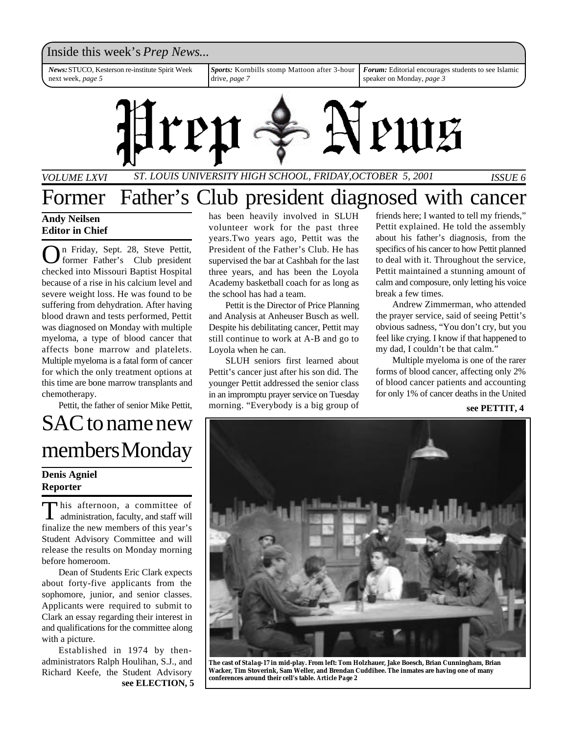

*VOLUME LXVI ST. LOUIS UNIVERSITY HIGH SCHOOL, FRIDAY,OCTOBER 5, 2001 ISSUE 6*

## Former Father's Club president diagnosed with cancer

**Andy Neilsen Editor in Chief**

O n Friday, Sept. 28, Steve Pettit, former Father's Club president checked into Missouri Baptist Hospital because of a rise in his calcium level and severe weight loss. He was found to be suffering from dehydration. After having blood drawn and tests performed, Pettit was diagnosed on Monday with multiple myeloma, a type of blood cancer that affects bone marrow and platelets. Multiple myeloma is a fatal form of cancer for which the only treatment options at this time are bone marrow transplants and chemotherapy.

Pettit, the father of senior Mike Pettit,

## SAC to name new members Monday

## **Denis Agniel Reporter**

This afternoon, a committee of<br>administration, faculty, and staff will his afternoon, a committee of finalize the new members of this year's Student Advisory Committee and will release the results on Monday morning before homeroom.

Dean of Students Eric Clark expects about forty-five applicants from the sophomore, junior, and senior classes. Applicants were required to submit to Clark an essay regarding their interest in and qualifications for the committee along with a picture.

Established in 1974 by thenadministrators Ralph Houlihan, S.J., and Richard Keefe, the Student Advisory **see ELECTION, 5** has been heavily involved in SLUH volunteer work for the past three years.Two years ago, Pettit was the President of the Father's Club. He has supervised the bar at Cashbah for the last three years, and has been the Loyola Academy basketball coach for as long as the school has had a team.

Pettit is the Director of Price Planning and Analysis at Anheuser Busch as well. Despite his debilitating cancer, Pettit may still continue to work at A-B and go to Loyola when he can.

SLUH seniors first learned about Pettit's cancer just after his son did. The younger Pettit addressed the senior class in an impromptu prayer service on Tuesday morning. "Everybody is a big group of

friends here; I wanted to tell my friends," Pettit explained. He told the assembly about his father's diagnosis, from the specifics of his cancer to how Pettit planned to deal with it. Throughout the service, Pettit maintained a stunning amount of calm and composure, only letting his voice break a few times.

Andrew Zimmerman, who attended the prayer service, said of seeing Pettit's obvious sadness, "You don't cry, but you feel like crying. I know if that happened to my dad, I couldn't be that calm."

Multiple myeloma is one of the rarer forms of blood cancer, affecting only 2% of blood cancer patients and accounting for only 1% of cancer deaths in the United

### **see PETTIT, 4**



**The cast of** *Stalag-17* **in mid-play. From left: Tom Holzhauer, Jake Boesch, Brian Cunningham, Brian Wacker, Tim Stoverink, Sam Weller, and Brendan Cuddihee. The inmates are having one of many conferences around their cell's table.** *Article Page 2*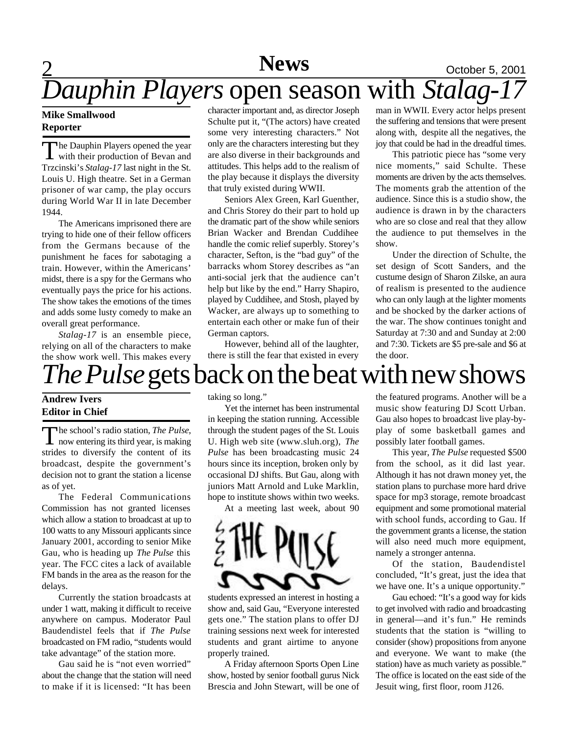# 2 **News** October 5, 2001

# *Dauphin Players* open season with *Stalag-17*

## **Mike Smallwood Reporter**

The Dauphin Players opened the year<br>with their production of Bevan and The Dauphin Players opened the year Trzcinski's *Stalag-17* last night in the St. Louis U. High theatre. Set in a German prisoner of war camp, the play occurs during World War II in late December 1944.

The Americans imprisoned there are trying to hide one of their fellow officers from the Germans because of the punishment he faces for sabotaging a train. However, within the Americans' midst, there is a spy for the Germans who eventually pays the price for his actions. The show takes the emotions of the times and adds some lusty comedy to make an overall great performance.

*Stalag-17* is an ensemble piece, relying on all of the characters to make the show work well. This makes every

character important and, as director Joseph Schulte put it, "(The actors) have created some very interesting characters." Not only are the characters interesting but they are also diverse in their backgrounds and attitudes. This helps add to the realism of the play because it displays the diversity that truly existed during WWII.

Seniors Alex Green, Karl Guenther, and Chris Storey do their part to hold up the dramatic part of the show while seniors Brian Wacker and Brendan Cuddihee handle the comic relief superbly. Storey's character, Sefton, is the "bad guy" of the barracks whom Storey describes as "an anti-social jerk that the audience can't help but like by the end." Harry Shapiro, played by Cuddihee, and Stosh, played by Wacker, are always up to something to entertain each other or make fun of their German captors.

However, behind all of the laughter, there is still the fear that existed in every

man in WWII. Every actor helps present the suffering and tensions that were present along with, despite all the negatives, the joy that could be had in the dreadful times.

This patriotic piece has "some very nice moments," said Schulte. These moments are driven by the acts themselves. The moments grab the attention of the audience. Since this is a studio show, the audience is drawn in by the characters who are so close and real that they allow the audience to put themselves in the show.

Under the direction of Schulte, the set design of Scott Sanders, and the custume design of Sharon Zilske, an aura of realism is presented to the audience who can only laugh at the lighter moments and be shocked by the darker actions of the war. The show continues tonight and Saturday at 7:30 and and Sunday at 2:00 and 7:30. Tickets are \$5 pre-sale and \$6 at the door.

# *The Pulse*gets back on the beat with new shows

## **Andrew Ivers Editor in Chief**

The school's radio station, *The Pulse*,<br>now entering its third year, is making he school's radio station, *The Pulse*, strides to diversify the content of its broadcast, despite the government's decision not to grant the station a license as of yet.

The Federal Communications Commission has not granted licenses which allow a station to broadcast at up to 100 watts to any Missouri applicants since January 2001, according to senior Mike Gau, who is heading up *The Pulse* this year. The FCC cites a lack of available FM bands in the area as the reason for the delays.

Currently the station broadcasts at under 1 watt, making it difficult to receive anywhere on campus. Moderator Paul Baudendistel feels that if *The Pulse* broadcasted on FM radio, "students would take advantage" of the station more.

Gau said he is "not even worried" about the change that the station will need to make if it is licensed: "It has been

taking so long."

Yet the internet has been instrumental in keeping the station running. Accessible through the student pages of the St. Louis U. High web site (www.sluh.org), *The Pulse* has been broadcasting music 24 hours since its inception, broken only by occasional DJ shifts. But Gau, along with juniors Matt Arnold and Luke Marklin, hope to institute shows within two weeks.

At a meeting last week, about 90



students expressed an interest in hosting a show and, said Gau, "Everyone interested gets one." The station plans to offer DJ training sessions next week for interested students and grant airtime to anyone properly trained.

A Friday afternoon Sports Open Line show, hosted by senior football gurus Nick Brescia and John Stewart, will be one of

the featured programs. Another will be a music show featuring DJ Scott Urban. Gau also hopes to broadcast live play-byplay of some basketball games and possibly later football games.

This year, *The Pulse* requested \$500 from the school, as it did last year. Although it has not drawn money yet, the station plans to purchase more hard drive space for mp3 storage, remote broadcast equipment and some promotional material with school funds, according to Gau. If the government grants a license, the station will also need much more equipment, namely a stronger antenna.

Of the station, Baudendistel concluded, "It's great, just the idea that we have one. It's a unique opportunity."

Gau echoed: "It's a good way for kids to get involved with radio and broadcasting in general—and it's fun." He reminds students that the station is "willing to consider (show) propositions from anyone and everyone. We want to make (the station) have as much variety as possible." The office is located on the east side of the Jesuit wing, first floor, room J126.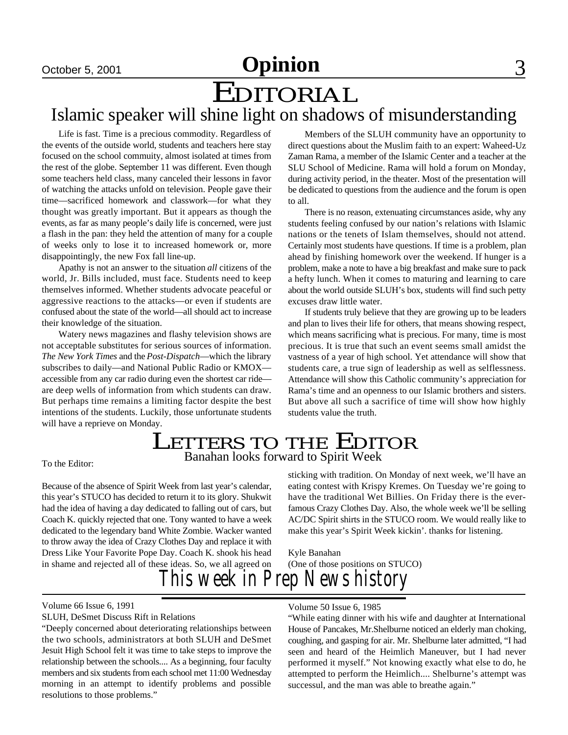# EDITORIAL

## Islamic speaker will shine light on shadows of misunderstanding

Life is fast. Time is a precious commodity. Regardless of the events of the outside world, students and teachers here stay focused on the school commuity, almost isolated at times from the rest of the globe. September 11 was different. Even though some teachers held class, many canceled their lessons in favor of watching the attacks unfold on television. People gave their time—sacrificed homework and classwork—for what they thought was greatly important. But it appears as though the events, as far as many people's daily life is concerned, were just a flash in the pan: they held the attention of many for a couple of weeks only to lose it to increased homework or, more disappointingly, the new Fox fall line-up.

Apathy is not an answer to the situation *all* citizens of the world, Jr. Bills included, must face. Students need to keep themselves informed. Whether students advocate peaceful or aggressive reactions to the attacks—or even if students are confused about the state of the world—all should act to increase their knowledge of the situation.

Watery news magazines and flashy television shows are not acceptable substitutes for serious sources of information. *The New York Times* and the *Post-Dispatch*—which the library subscribes to daily—and National Public Radio or KMOX accessible from any car radio during even the shortest car ride are deep wells of information from which students can draw. But perhaps time remains a limiting factor despite the best intentions of the students. Luckily, those unfortunate students will have a reprieve on Monday.

Members of the SLUH community have an opportunity to direct questions about the Muslim faith to an expert: Waheed-Uz Zaman Rama, a member of the Islamic Center and a teacher at the SLU School of Medicine. Rama will hold a forum on Monday, during activity period, in the theater. Most of the presentation will be dedicated to questions from the audience and the forum is open to all.

There is no reason, extenuating circumstances aside, why any students feeling confused by our nation's relations with Islamic nations or the tenets of Islam themselves, should not attend. Certainly most students have questions. If time is a problem, plan ahead by finishing homework over the weekend. If hunger is a problem, make a note to have a big breakfast and make sure to pack a hefty lunch. When it comes to maturing and learning to care about the world outside SLUH's box, students will find such petty excuses draw little water.

If students truly believe that they are growing up to be leaders and plan to lives their life for others, that means showing respect, which means sacrificing what is precious. For many, time is most precious. It is true that such an event seems small amidst the vastness of a year of high school. Yet attendance will show that students care, a true sign of leadership as well as selflessness. Attendance will show this Catholic community's appreciation for Rama's time and an openness to our Islamic brothers and sisters. But above all such a sacrifice of time will show how highly students value the truth.

## **LETTERS TO THE EDITOR** Banahan looks forward to Spirit Week

To the Editor:

Because of the absence of Spirit Week from last year's calendar, this year's STUCO has decided to return it to its glory. Shukwit had the idea of having a day dedicated to falling out of cars, but Coach K. quickly rejected that one. Tony wanted to have a week dedicated to the legendary band White Zombie. Wacker wanted to throw away the idea of Crazy Clothes Day and replace it with Dress Like Your Favorite Pope Day. Coach K. shook his head in shame and rejected all of these ideas. So, we all agreed on

sticking with tradition. On Monday of next week, we'll have an eating contest with Krispy Kremes. On Tuesday we're going to have the traditional Wet Billies. On Friday there is the everfamous Crazy Clothes Day. Also, the whole week we'll be selling AC/DC Spirit shirts in the STUCO room. We would really like to make this year's Spirit Week kickin'. thanks for listening.

*This week in Prep News history* Kyle Banahan (One of those positions on STUCO)

SLUH, DeSmet Discuss Rift in Relations

"Deeply concerned about deteriorating relationships between the two schools, administrators at both SLUH and DeSmet Jesuit High School felt it was time to take steps to improve the relationship between the schools.... As a beginning, four faculty members and six students from each school met 11:00 Wednesday morning in an attempt to identify problems and possible resolutions to those problems."

#### Volume 50 Issue 6, 1985

"While eating dinner with his wife and daughter at International House of Pancakes, Mr.Shelburne noticed an elderly man choking, coughing, and gasping for air. Mr. Shelburne later admitted, "I had seen and heard of the Heimlich Maneuver, but I had never performed it myself." Not knowing exactly what else to do, he attempted to perform the Heimlich.... Shelburne's attempt was successul, and the man was able to breathe again."

Volume 66 Issue 6, 1991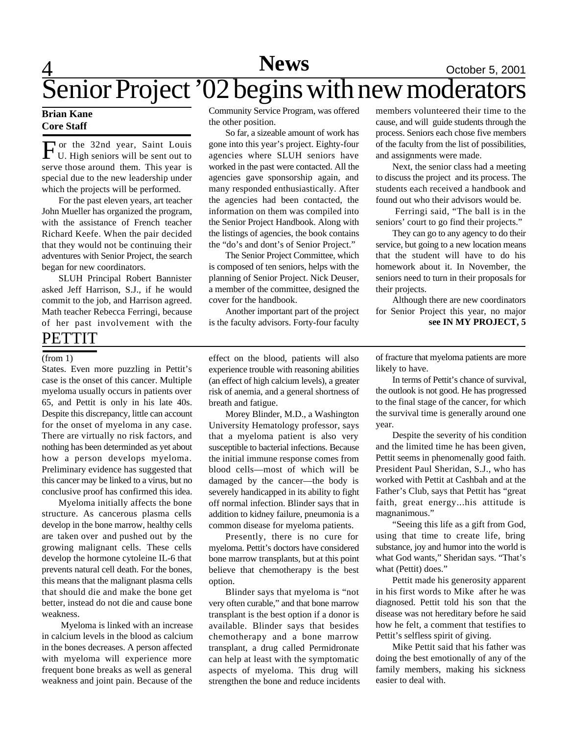# 4 **News** October 5, 2001 Senior Project '02 begins with new moderators

## **Brian Kane Core Staff**

For the 32nd year, Saint Louis<br>U. High seniors will be sent out to U. High seniors will be sent out to serve those around them. This year is special due to the new leadership under which the projects will be performed.

For the past eleven years, art teacher John Mueller has organized the program, with the assistance of French teacher Richard Keefe. When the pair decided that they would not be continuing their adventures with Senior Project, the search began for new coordinators.

SLUH Principal Robert Bannister asked Jeff Harrison, S.J., if he would commit to the job, and Harrison agreed. Math teacher Rebecca Ferringi, because of her past involvement with the

## PETTIT

#### (from 1)

States. Even more puzzling in Pettit's case is the onset of this cancer. Multiple myeloma usually occurs in patients over 65, and Pettit is only in his late 40s. Despite this discrepancy, little can account for the onset of myeloma in any case. There are virtually no risk factors, and nothing has been determinded as yet about how a person develops myeloma. Preliminary evidence has suggested that this cancer may be linked to a virus, but no conclusive proof has confirmed this idea.

Myeloma initially affects the bone structure. As cancerous plasma cells develop in the bone marrow, healthy cells are taken over and pushed out by the growing malignant cells. These cells develop the hormone cytoleine IL-6 that prevents natural cell death. For the bones, this means that the malignant plasma cells that should die and make the bone get better, instead do not die and cause bone weakness.

 Myeloma is linked with an increase in calcium levels in the blood as calcium in the bones decreases. A person affected with myeloma will experience more frequent bone breaks as well as general weakness and joint pain. Because of the

Community Service Program, was offered the other position.

So far, a sizeable amount of work has gone into this year's project. Eighty-four agencies where SLUH seniors have worked in the past were contacted. All the agencies gave sponsorship again, and many responded enthusiastically. After the agencies had been contacted, the information on them was compiled into the Senior Project Handbook. Along with the listings of agencies, the book contains the "do's and dont's of Senior Project."

The Senior Project Committee, which is composed of ten seniors, helps with the planning of Senior Project. Nick Deuser, a member of the committee, designed the cover for the handbook.

Another important part of the project is the faculty advisors. Forty-four faculty

members volunteered their time to the cause, and will guide students through the process. Seniors each chose five members of the faculty from the list of possibilities, and assignments were made.

Next, the senior class had a meeting to discuss the project and its process. The students each received a handbook and found out who their advisors would be.

 Ferringi said, "The ball is in the seniors' court to go find their projects."

They can go to any agency to do their service, but going to a new location means that the student will have to do his homework about it. In November, the seniors need to turn in their proposals for their projects.

Although there are new coordinators for Senior Project this year, no major **see IN MY PROJECT, 5**

effect on the blood, patients will also experience trouble with reasoning abilities (an effect of high calcium levels), a greater risk of anemia, and a general shortness of breath and fatigue.

Morey Blinder, M.D., a Washington University Hematology professor, says that a myeloma patient is also very susceptible to bacterial infections. Because the initial immune response comes from blood cells—most of which will be damaged by the cancer—the body is severely handicapped in its ability to fight off normal infection. Blinder says that in addition to kidney failure, pneumonia is a common disease for myeloma patients.

Presently, there is no cure for myeloma. Pettit's doctors have considered bone marrow transplants, but at this point believe that chemotherapy is the best option.

Blinder says that myeloma is "not very often curable," and that bone marrow transplant is the best option if a donor is available. Blinder says that besides chemotherapy and a bone marrow transplant, a drug called Permidronate can help at least with the symptomatic aspects of myeloma. This drug will strengthen the bone and reduce incidents of fracture that myeloma patients are more likely to have.

In terms of Pettit's chance of survival, the outlook is not good. He has progressed to the final stage of the cancer, for which the survival time is generally around one year.

Despite the severity of his condition and the limited time he has been given, Pettit seems in phenomenally good faith. President Paul Sheridan, S.J., who has worked with Pettit at Cashbah and at the Father's Club, says that Pettit has "great faith, great energy...his attitude is magnanimous."

"Seeing this life as a gift from God, using that time to create life, bring substance, joy and humor into the world is what God wants," Sheridan says. "That's what (Pettit) does."

Pettit made his generosity apparent in his first words to Mike after he was diagnosed. Pettit told his son that the disease was not hereditary before he said how he felt, a comment that testifies to Pettit's selfless spirit of giving.

Mike Pettit said that his father was doing the best emotionally of any of the family members, making his sickness easier to deal with.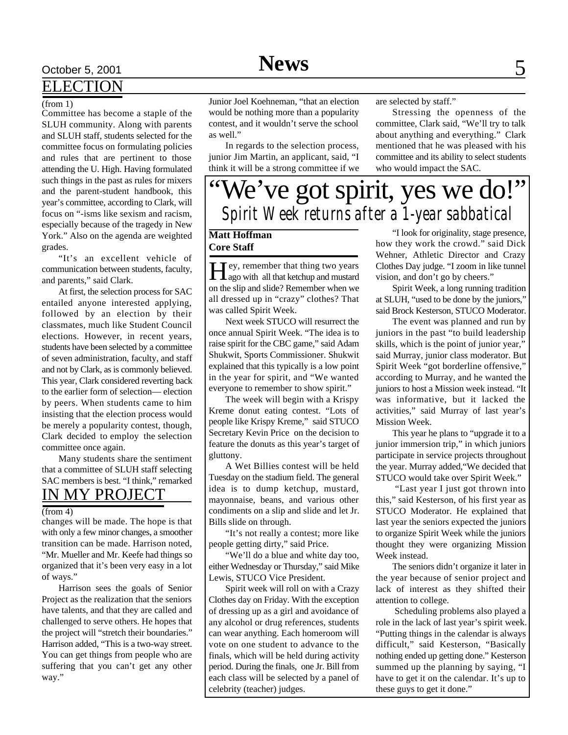# October 5, 2001 **News** 5

## ELECTION

### (from 1)

Committee has become a staple of the SLUH community. Along with parents and SLUH staff, students selected for the committee focus on formulating policies and rules that are pertinent to those attending the U. High. Having formulated such things in the past as rules for mixers and the parent-student handbook, this year's committee, according to Clark, will focus on "-isms like sexism and racism, especially because of the tragedy in New York." Also on the agenda are weighted grades.

"It's an excellent vehicle of communication between students, faculty, and parents," said Clark.

At first, the selection process for SAC entailed anyone interested applying, followed by an election by their classmates, much like Student Council elections. However, in recent years, students have been selected by a committee of seven administration, faculty, and staff and not by Clark, as is commonly believed. This year, Clark considered reverting back to the earlier form of selection— election by peers. When students came to him insisting that the election process would be merely a popularity contest, though, Clark decided to employ the selection committee once again.

Many students share the sentiment that a committee of SLUH staff selecting SAC members is best. "I think," remarked IN MY PROJECT

#### $(from 4)$

changes will be made. The hope is that with only a few minor changes, a smoother transition can be made. Harrison noted, "Mr. Mueller and Mr. Keefe had things so organized that it's been very easy in a lot of ways."

Harrison sees the goals of Senior Project as the realization that the seniors have talents, and that they are called and challenged to serve others. He hopes that the project will "stretch their boundaries." Harrison added, "This is a two-way street. You can get things from people who are suffering that you can't get any other way."

Junior Joel Koehneman, "that an election would be nothing more than a popularity contest, and it wouldn't serve the school as well."

In regards to the selection process, junior Jim Martin, an applicant, said, "I think it will be a strong committee if we are selected by staff."

Stressing the openness of the committee, Clark said, "We'll try to talk about anything and everything." Clark mentioned that he was pleased with his committee and its ability to select students who would impact the SAC.

# We've got spirit, yes we do!" *Spirit Week returns after a 1-year sabbatical*

## **Matt Hoffman Core Staff**

Hey, remember that thing two years<br>ago with all that ketchup and mustard  $\mathbf{T}$  ey, remember that thing two years on the slip and slide? Remember when we all dressed up in "crazy" clothes? That was called Spirit Week.

Next week STUCO will resurrect the once annual Spirit Week. "The idea is to raise spirit for the CBC game," said Adam Shukwit, Sports Commissioner. Shukwit explained that this typically is a low point in the year for spirit, and "We wanted everyone to remember to show spirit."

The week will begin with a Krispy Kreme donut eating contest. "Lots of people like Krispy Kreme," said STUCO Secretary Kevin Price on the decision to feature the donuts as this year's target of gluttony.

A Wet Billies contest will be held Tuesday on the stadium field. The general idea is to dump ketchup, mustard, mayonnaise, beans, and various other condiments on a slip and slide and let Jr. Bills slide on through.

"It's not really a contest; more like people getting dirty," said Price.

"We'll do a blue and white day too, either Wednesday or Thursday," said Mike Lewis, STUCO Vice President.

Spirit week will roll on with a Crazy Clothes day on Friday. With the exception of dressing up as a girl and avoidance of any alcohol or drug references, students can wear anything. Each homeroom will vote on one student to advance to the finals, which will be held during activity period. During the finals, one Jr. Bill from each class will be selected by a panel of celebrity (teacher) judges.

"I look for originality, stage presence, how they work the crowd." said Dick Wehner, Athletic Director and Crazy Clothes Day judge. "I zoom in like tunnel vision, and don't go by cheers."

Spirit Week, a long running tradition at SLUH, "used to be done by the juniors," said Brock Kesterson, STUCO Moderator.

The event was planned and run by juniors in the past "to build leadership skills, which is the point of junior year," said Murray, junior class moderator. But Spirit Week "got borderline offensive," according to Murray, and he wanted the juniors to host a Mission week instead. "It was informative, but it lacked the activities," said Murray of last year's Mission Week.

This year he plans to "upgrade it to a junior immersion trip," in which juniors participate in service projects throughout the year. Murray added,"We decided that STUCO would take over Spirit Week."

 "Last year I just got thrown into this," said Kesterson, of his first year as STUCO Moderator. He explained that last year the seniors expected the juniors to organize Spirit Week while the juniors thought they were organizing Mission Week instead.

The seniors didn't organize it later in the year because of senior project and lack of interest as they shifted their attention to college.

 Scheduling problems also played a role in the lack of last year's spirit week. "Putting things in the calendar is always difficult," said Kesterson, "Basically nothing ended up getting done." Kesterson summed up the planning by saying, "I have to get it on the calendar. It's up to these guys to get it done."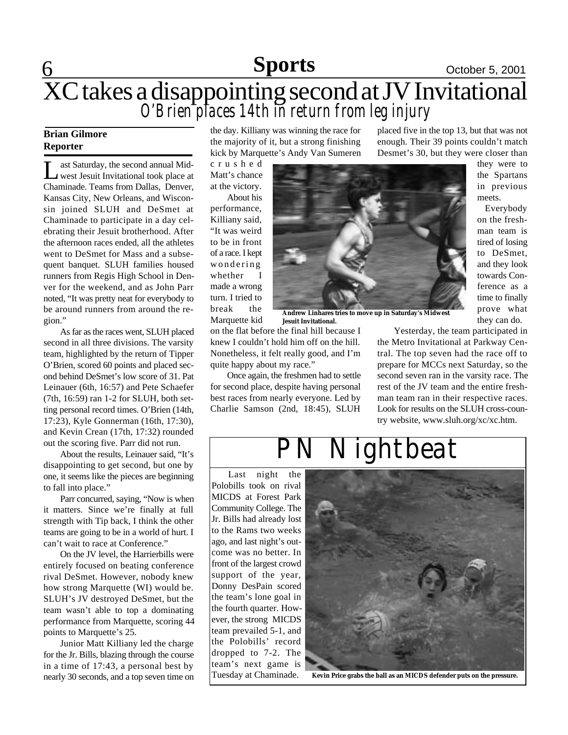## **6 Sports October 5, 2001 Sports**

## XC takes a disappointing second at JV Invitational *O'Brien places 14th in return from leg injury*

## **Brian Gilmore Reporter**

 $\overline{\mathsf{L}}$ ast Saturday, the second annual Midwest Jesuit Invitational took place at Chaminade. Teams from Dallas, Denver, Kansas City, New Orleans, and Wisconsin joined SLUH and DeSmet at Chaminade to participate in a day celebrating their Jesuit brotherhood. After the afternoon races ended, all the athletes went to DeSmet for Mass and a subsequent banquet. SLUH families housed runners from Regis High School in Denver for the weekend, and as John Parr noted, "It was pretty neat for everybody to be around runners from around the region."

As far as the races went, SLUH placed second in all three divisions. The varsity team, highlighted by the return of Tipper O'Brien, scored 60 points and placed second behind DeSmet's low score of 31. Pat Leinauer (6th, 16:57) and Pete Schaefer (7th, 16:59) ran 1-2 for SLUH, both setting personal record times. O'Brien (14th, 17:23), Kyle Gonnerman (16th, 17:30), and Kevin Crean (17th, 17:32) rounded out the scoring five. Parr did not run.

About the results, Leinauer said, "It's disappointing to get second, but one by one, it seems like the pieces are beginning to fall into place."

Parr concurred, saying, "Now is when it matters. Since we're finally at full strength with Tip back, I think the other teams are going to be in a world of hurt. I can't wait to race at Conference."

On the JV level, the Harrierbills were entirely focused on beating conference rival DeSmet. However, nobody knew how strong Marquette (WI) would be. SLUH's JV destroyed DeSmet, but the team wasn't able to top a dominating performance from Marquette, scoring 44 points to Marquette's 25.

Junior Matt Killiany led the charge for the Jr. Bills, blazing through the course in a time of 17:43, a personal best by nearly 30 seconds, and a top seven time on the day. Killiany was winning the race for the majority of it, but a strong finishing kick by Marquette's Andy Van Sumeren

c r u s h e d Matt's chance at the victory.

About his performance, Killiany said, "It was weird to be in front of a race. I kept wondering whether I made a wrong turn. I tried to break the Marquette kid



**Andrew Linhares tries to move up in Saturday's Midwest Jesuit Invitational.**

on the flat before the final hill because I knew I couldn't hold him off on the hill. Nonetheless, it felt really good, and I'm quite happy about my race."

Once again, the freshmen had to settle for second place, despite having personal best races from nearly everyone. Led by Charlie Samson (2nd, 18:45), SLUH

placed five in the top 13, but that was not enough. Their 39 points couldn't match Desmet's 30, but they were closer than

> they were to the Spartans in previous meets.

 Everybody on the freshman team is tired of losing to DeSmet, and they look towards Conference as a time to finally prove what they can do.

Yesterday, the team participated in the Metro Invitational at Parkway Cenman team ran in their respective races. try website, www.sluh.org/xc/xc.htm.

tral. The top seven had the race off to prepare for MCCs next Saturday, so the second seven ran in the varsity race. The rest of the JV team and the entire fresh-Look for results on the SLUH cross-coun-

Last night the Polobills took on rival MICDS at Forest Park Community College. The Jr. Bills had already lost to the Rams two weeks ago, and last night's outcome was no better. In front of the largest crowd support of the year, Donny DesPain scored the team's lone goal in the fourth quarter. However, the strong MICDS team prevailed 5-1, and the Polobills' record dropped to 7-2. The team's next game is Tuesday at Chaminade.



**Kevin Price grabs the ball as an MICDS defender puts on the pressure.**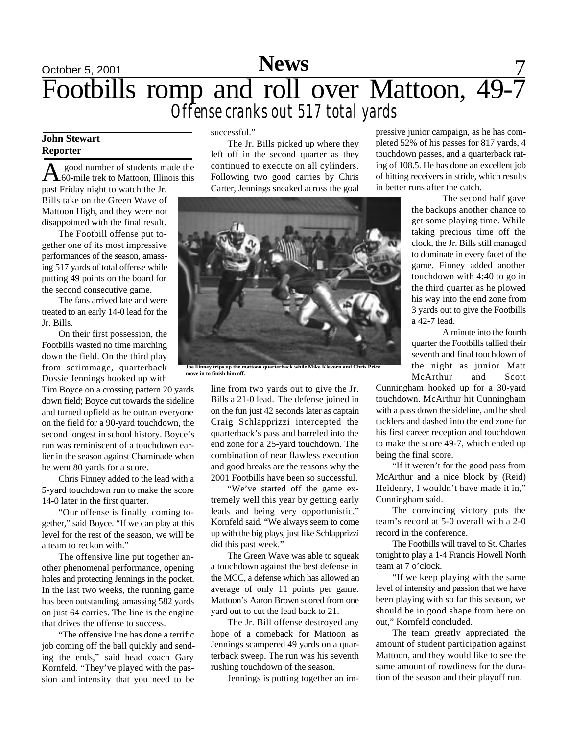## October 5, 2001 **News** 7 Footbills romp and roll over Mattoon, 49-7 *Offense cranks out 517 total yards*

## **John Stewart Reporter**

A good number of students made the<br>60-mile trek to Mattoon, Illinois this good number of students made the past Friday night to watch the Jr. Bills take on the Green Wave of Mattoon High, and they were not disappointed with the final result.

The Footbill offense put together one of its most impressive performances of the season, amassing 517 yards of total offense while putting 49 points on the board for the second consecutive game.

The fans arrived late and were treated to an early 14-0 lead for the Jr. Bills.

On their first possession, the Footbills wasted no time marching down the field. On the third play from scrimmage, quarterback Dossie Jennings hooked up with

Tim Boyce on a crossing pattern 20 yards down field; Boyce cut towards the sideline and turned upfield as he outran everyone on the field for a 90-yard touchdown, the second longest in school history. Boyce's run was reminiscent of a touchdown earlier in the season against Chaminade when he went 80 yards for a score.

Chris Finney added to the lead with a 5-yard touchdown run to make the score 14-0 later in the first quarter.

"Our offense is finally coming together," said Boyce. "If we can play at this level for the rest of the season, we will be a team to reckon with."

The offensive line put together another phenomenal performance, opening holes and protecting Jennings in the pocket. In the last two weeks, the running game has been outstanding, amassing 582 yards on just 64 carries. The line is the engine that drives the offense to success.

"The offensive line has done a terrific job coming off the ball quickly and sending the ends," said head coach Gary Kornfeld. "They've played with the passion and intensity that you need to be

successful."

The Jr. Bills picked up where they left off in the second quarter as they continued to execute on all cylinders. Following two good carries by Chris Carter, Jennings sneaked across the goal

**Joe Finney trips up the mattoon quarterback while Mike Klevorn and Chris Price move in to finish him off.**

line from two yards out to give the Jr. Bills a 21-0 lead. The defense joined in on the fun just 42 seconds later as captain Craig Schlapprizzi intercepted the quarterback's pass and barreled into the end zone for a 25-yard touchdown. The combination of near flawless execution and good breaks are the reasons why the 2001 Footbills have been so successful.

"We've started off the game extremely well this year by getting early leads and being very opportunistic," Kornfeld said. "We always seem to come up with the big plays, just like Schlapprizzi did this past week."

The Green Wave was able to squeak a touchdown against the best defense in the MCC, a defense which has allowed an average of only 11 points per game. Mattoon's Aaron Brown scored from one yard out to cut the lead back to 21.

The Jr. Bill offense destroyed any hope of a comeback for Mattoon as Jennings scampered 49 yards on a quarterback sweep. The run was his seventh rushing touchdown of the season.

Jennings is putting together an im-

pressive junior campaign, as he has completed 52% of his passes for 817 yards, 4 touchdown passes, and a quarterback rating of 108.5. He has done an excellent job of hitting receivers in stride, which results in better runs after the catch.

> The second half gave the backups another chance to get some playing time. While taking precious time off the clock, the Jr. Bills still managed to dominate in every facet of the game. Finney added another touchdown with 4:40 to go in the third quarter as he plowed his way into the end zone from 3 yards out to give the Footbills a 42-7 lead.

> A minute into the fourth quarter the Footbills tallied their seventh and final touchdown of the night as junior Matt McArthur and Scott

Cunningham hooked up for a 30-yard touchdown. McArthur hit Cunningham with a pass down the sideline, and he shed tacklers and dashed into the end zone for his first career reception and touchdown to make the score 49-7, which ended up being the final score.

"If it weren't for the good pass from McArthur and a nice block by (Reid) Heidenry, I wouldn't have made it in," Cunningham said.

The convincing victory puts the team's record at 5-0 overall with a 2-0 record in the conference.

The Footbills will travel to St. Charles tonight to play a 1-4 Francis Howell North team at 7 o'clock.

"If we keep playing with the same level of intensity and passion that we have been playing with so far this season, we should be in good shape from here on out," Kornfeld concluded.

The team greatly appreciated the amount of student participation against Mattoon, and they would like to see the same amount of rowdiness for the duration of the season and their playoff run.

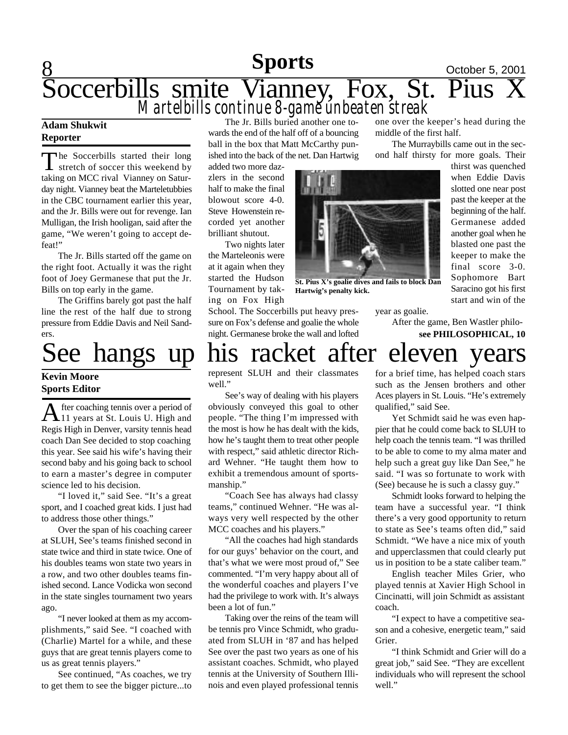## **8 Sports October 5, 2001** Soccerbills smite Vianney, Fox, St. Pius X *Martelbills continue 8-game unbeaten streak* The Jr. Bills buried another one to-one over the keeper's head during the

### **Adam Shukwit Reporter**

The Soccerbills started their long<br>stretch of soccer this weekend by stretch of soccer this weekend by taking on MCC rival Vianney on Saturday night. Vianney beat the Marteletubbies in the CBC tournament earlier this year, and the Jr. Bills were out for revenge. Ian Mulligan, the Irish hooligan, said after the game, "We weren't going to accept defeat!"

The Jr. Bills started off the game on the right foot. Actually it was the right foot of Joey Germanese that put the Jr. Bills on top early in the game.

The Griffins barely got past the half line the rest of the half due to strong pressure from Eddie Davis and Neil Sanders.

## **Kevin Moore Sports Editor**

A fter coaching tennis over a period of<br>11 years at St. Louis U. High and fter coaching tennis over a period of Regis High in Denver, varsity tennis head coach Dan See decided to stop coaching this year. See said his wife's having their second baby and his going back to school to earn a master's degree in computer science led to his decision.

"I loved it," said See. "It's a great sport, and I coached great kids. I just had to address those other things."

Over the span of his coaching career at SLUH, See's teams finished second in state twice and third in state twice. One of his doubles teams won state two years in a row, and two other doubles teams finished second. Lance Vodicka won second in the state singles tournament two years ago.

"I never looked at them as my accomplishments," said See. "I coached with (Charlie) Martel for a while, and these guys that are great tennis players come to us as great tennis players."

See continued, "As coaches, we try to get them to see the bigger picture...to wards the end of the half off of a bouncing ball in the box that Matt McCarthy punished into the back of the net. Dan Hartwig

added two more dazzlers in the second half to make the final blowout score 4-0. Steve Howenstein recorded yet another brilliant shutout.

Two nights later the Marteleonis were at it again when they started the Hudson Tournament by taking on Fox High

School. The Soccerbills put heavy pressure on Fox's defense and goalie the whole night. Germanese broke the wall and lofted



**St. Pius X's goalie dives and fails to block Dan Hartwig's penalty kick.**

year as goalie.

middle of the first half.

After the game, Ben Wastler philo**see PHILOSOPHICAL, 10**

The Murraybills came out in the second half thirsty for more goals. Their

> thirst was quenched when Eddie Davis slotted one near post past the keeper at the beginning of the half. Germanese added another goal when he blasted one past the keeper to make the final score 3-0. Sophomore Bart Saracino got his first start and win of the

# See hangs up his racket after eleven years

represent SLUH and their classmates well."

See's way of dealing with his players obviously conveyed this goal to other people. "The thing I'm impressed with the most is how he has dealt with the kids, how he's taught them to treat other people with respect," said athletic director Richard Wehner. "He taught them how to exhibit a tremendous amount of sportsmanship."

"Coach See has always had classy teams," continued Wehner. "He was always very well respected by the other MCC coaches and his players."

"All the coaches had high standards for our guys' behavior on the court, and that's what we were most proud of," See commented. "I'm very happy about all of the wonderful coaches and players I've had the privilege to work with. It's always been a lot of fun."

Taking over the reins of the team will be tennis pro Vince Schmidt, who graduated from SLUH in '87 and has helped See over the past two years as one of his assistant coaches. Schmidt, who played tennis at the University of Southern Illinois and even played professional tennis for a brief time, has helped coach stars such as the Jensen brothers and other Aces players in St. Louis. "He's extremely qualified," said See.

Yet Schmidt said he was even happier that he could come back to SLUH to help coach the tennis team. "I was thrilled to be able to come to my alma mater and help such a great guy like Dan See," he said. "I was so fortunate to work with (See) because he is such a classy guy."

Schmidt looks forward to helping the team have a successful year. "I think there's a very good opportunity to return to state as See's teams often did," said Schmidt. "We have a nice mix of youth and upperclassmen that could clearly put us in position to be a state caliber team."

English teacher Miles Grier, who played tennis at Xavier High School in Cincinatti, will join Schmidt as assistant coach.

"I expect to have a competitive season and a cohesive, energetic team," said Grier.

"I think Schmidt and Grier will do a great job," said See. "They are excellent individuals who will represent the school well."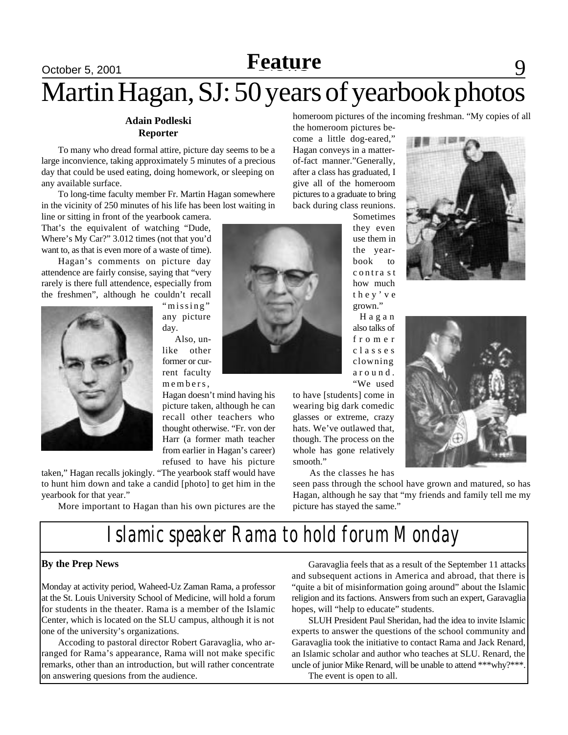## <u>October 5, 2001 **Neature**</u> 1997 **Feature** Martin Hagan, SJ: 50 years of yearbook photos

### **Adain Podleski Reporter**

To many who dread formal attire, picture day seems to be a large inconvience, taking approximately 5 minutes of a precious day that could be used eating, doing homework, or sleeping on any available surface.

To long-time faculty member Fr. Martin Hagan somewhere in the vicinity of 250 minutes of his life has been lost waiting in

line or sitting in front of the yearbook camera. That's the equivalent of watching "Dude, Where's My Car?" 3.012 times (not that you'd want to, as that is even more of a waste of time).

Hagan's comments on picture day attendence are fairly consise, saying that "very rarely is there full attendence, especially from the freshmen", although he couldn't recall

> "missing" any picture day. Also, un-

like other former or current faculty members,

Hagan doesn't mind having his picture taken, although he can recall other teachers who thought otherwise. "Fr. von der Harr (a former math teacher from earlier in Hagan's career) refused to have his picture

taken," Hagan recalls jokingly. "The yearbook staff would have to hunt him down and take a candid [photo] to get him in the yearbook for that year."

More important to Hagan than his own pictures are the

homeroom pictures of the incoming freshman. "My copies of all

the homeroom pictures become a little dog-eared," Hagan conveys in a matterof-fact manner."Generally, after a class has graduated, I give all of the homeroom pictures to a graduate to bring back during class reunions.

Sometimes they even use them in the yearbook to c ontra s t how much t h e y ' v e grown."

H a g a n also talks of f r o m e r c l a s s e s clowning a r o u n d . "We used

to have [students] come in wearing big dark comedic glasses or extreme, crazy hats. We've outlawed that, though. The process on the whole has gone relatively smooth."

As the classes he has

seen pass through the school have grown and matured, so has Hagan, although he say that "my friends and family tell me my picture has stayed the same."

*Islamic speaker Rama to hold forum Monday*

## **By the Prep News**

Monday at activity period, Waheed-Uz Zaman Rama, a professor at the St. Louis University School of Medicine, will hold a forum for students in the theater. Rama is a member of the Islamic Center, which is located on the SLU campus, although it is not one of the university's organizations.

Accoding to pastoral director Robert Garavaglia, who arranged for Rama's appearance, Rama will not make specific remarks, other than an introduction, but will rather concentrate on answering quesions from the audience.

Garavaglia feels that as a result of the September 11 attacks and subsequent actions in America and abroad, that there is "quite a bit of misinformation going around" about the Islamic religion and its factions. Answers from such an expert, Garavaglia hopes, will "help to educate" students.

SLUH President Paul Sheridan, had the idea to invite Islamic experts to answer the questions of the school community and Garavaglia took the initiative to contact Rama and Jack Renard, an Islamic scholar and author who teaches at SLU. Renard, the uncle of junior Mike Renard, will be unable to attend \*\*\*why?\*\*\*. The event is open to all.